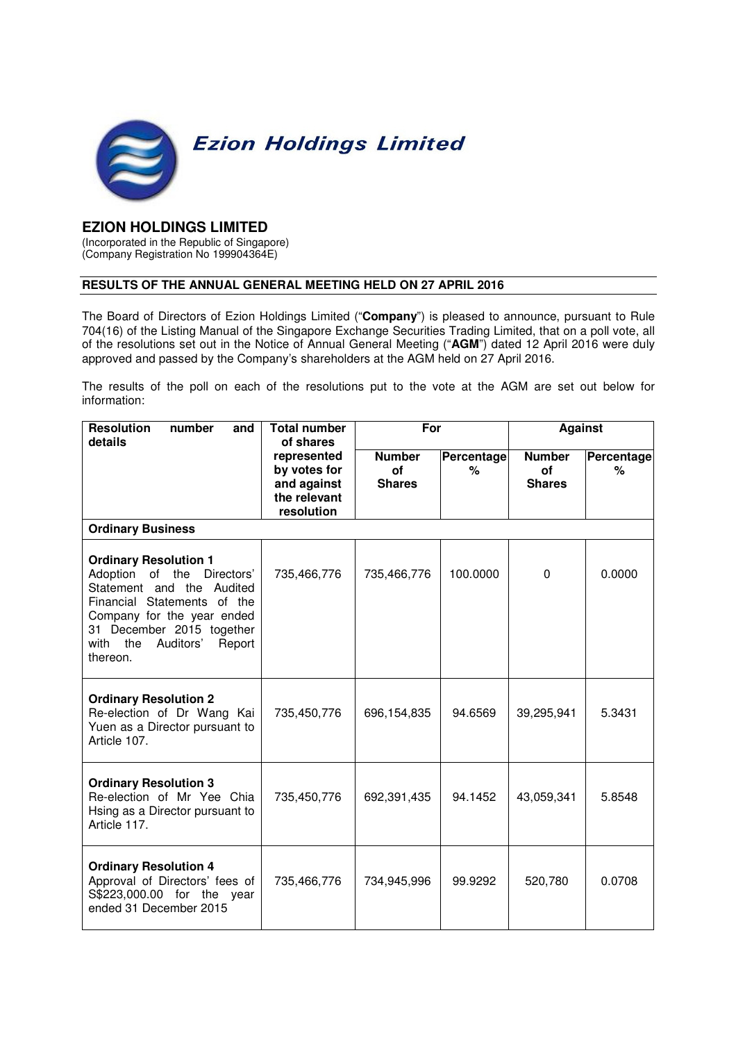

## **EZION HOLDINGS LIMITED**

(Incorporated in the Republic of Singapore) (Company Registration No 199904364E)

## **RESULTS OF THE ANNUAL GENERAL MEETING HELD ON 27 APRIL 2016**

The Board of Directors of Ezion Holdings Limited ("**Company**") is pleased to announce, pursuant to Rule 704(16) of the Listing Manual of the Singapore Exchange Securities Trading Limited, that on a poll vote, all of the resolutions set out in the Notice of Annual General Meeting ("**AGM**") dated 12 April 2016 were duly approved and passed by the Company's shareholders at the AGM held on 27 April 2016.

The results of the poll on each of the resolutions put to the vote at the AGM are set out below for information:

| <b>Resolution</b><br>number<br>and<br>details                                                                                                                                                                                       | <b>Total number</b><br>of shares     | For             |                                             | <b>Against</b>         |        |  |  |  |
|-------------------------------------------------------------------------------------------------------------------------------------------------------------------------------------------------------------------------------------|--------------------------------------|-----------------|---------------------------------------------|------------------------|--------|--|--|--|
| represented<br>by votes for<br>and against<br>the relevant<br>resolution                                                                                                                                                            | <b>Number</b><br>of<br><b>Shares</b> | Percentage<br>% | <b>Number</b><br><b>of</b><br><b>Shares</b> | <b>Percentage</b><br>% |        |  |  |  |
| <b>Ordinary Business</b>                                                                                                                                                                                                            |                                      |                 |                                             |                        |        |  |  |  |
| <b>Ordinary Resolution 1</b><br>of the Directors'<br>Adoption<br>Statement and the Audited<br>Financial Statements of the<br>Company for the year ended<br>31 December 2015 together<br>with the<br>Auditors'<br>Report<br>thereon. | 735,466,776                          | 735,466,776     | 100.0000                                    | $\Omega$               | 0.0000 |  |  |  |
| <b>Ordinary Resolution 2</b><br>Re-election of Dr Wang Kai<br>Yuen as a Director pursuant to<br>Article 107.                                                                                                                        | 735,450,776                          | 696,154,835     | 94.6569                                     | 39,295,941             | 5.3431 |  |  |  |
| <b>Ordinary Resolution 3</b><br>Re-election of Mr Yee Chia<br>Hsing as a Director pursuant to<br>Article 117.                                                                                                                       | 735,450,776                          | 692,391,435     | 94.1452                                     | 43,059,341             | 5.8548 |  |  |  |
| <b>Ordinary Resolution 4</b><br>Approval of Directors' fees of<br>S\$223,000.00 for the year<br>ended 31 December 2015                                                                                                              | 735,466,776                          | 734,945,996     | 99.9292                                     | 520,780                | 0.0708 |  |  |  |